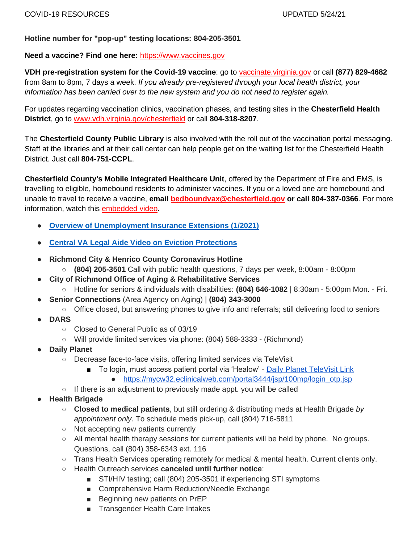### **Hotline number for "pop-up" testing locations: 804-205-3501**

### **Need a vaccine? Find one here:** [https://www.vaccines.gov](https://www.vaccines.gov/)

**VDH pre-registration system for the Covid-19 vaccine**: go to [vaccinate.virginia.gov](http://vaccinate.virginia.gov/) or call **(877) 829-4682** from 8am to 8pm, 7 days a week. *If you already pre-registered through your local health district, your information has been carried over to the new system and you do not need to register again.*

For updates regarding vaccination clinics, vaccination phases, and testing sites in the **Chesterfield Health District**, go to [www.vdh.virginia.gov/chesterfield](https://www.vdh.virginia.gov/chesterfield/) or call **804-318-8207**.

The **Chesterfield County Public Library** is also involved with the roll out of the vaccination portal messaging. Staff at the libraries and at their call center can help people get on the waiting list for the Chesterfield Health District. Just call **804-751-CCPL**.

**Chesterfield County's Mobile Integrated Healthcare Unit**, offered by the Department of Fire and EMS, is travelling to eligible, homebound residents to administer vaccines. If you or a loved one are homebound and unable to travel to receive a vaccine, **email [bedboundvax@chesterfield.gov](mailto:bedboundvax@chesterfield.gov) or call 804-387-0366**. For more information, watch this [embedded video.](https://youtu.be/719iMy5B7v4)

- **[Overview of Unemployment Insurance Extensions \(1/2021\)](https://www.thepennyhoarder.com/make-money/career/ui-extension/?aff_id=86&aff_sub3=20210122&aff_unique2=ITR-280c22fa-070d-648e-dece-4e220514ef78&utm_medium=email&utm_source=daily&utm_campaign=daily20210125&utm_content=makemoney&sms)**
- **[Central VA Legal Aide Video on Eviction Protections](https://youtu.be/a6qy9dQ4AVQ)**
- **Richmond City & Henrico County Coronavirus Hotline**
	- **(804) 205-3501** Call with public health questions, 7 days per week, 8:00am 8:00pm
- **City of Richmond Office of Aging & Rehabilitative Services** 
	- Hotline for seniors & individuals with disabilities: **(804) 646-1082** | 8:30am 5:00pm Mon. Fri.
- **Senior Connections** (Area Agency on Aging) | **(804) 343-3000**
	- Office closed, but answering phones to give info and referrals; still delivering food to seniors
- **DARS**
	- Closed to General Public as of 03/19
	- Will provide limited services via phone: (804) 588-3333 (Richmond)
- **Daily Planet** 
	- Decrease face-to-face visits, offering limited services via TeleVisit
		- To login, must access patient portal via 'Healow' Daily Planet TeleVisit Link
			- [https://mycw32.eclinicalweb.com/portal3444/jsp/100mp/login\\_otp.jsp](https://mycw32.eclinicalweb.com/portal3444/jsp/100mp/login_otp.jsp)
	- If there is an adjustment to previously made appt. you will be called
- **Health Brigade** 
	- **Closed to medical patients**, but still ordering & distributing meds at Health Brigade *by appointment only*. To schedule meds pick-up, call (804) 716-5811
	- Not accepting new patients currently
	- All mental health therapy sessions for current patients will be held by phone. No groups. Questions, call (804) 358-6343 ext. 116
	- Trans Health Services operating remotely for medical & mental health. Current clients only.
	- Health Outreach services **canceled until further notice**:
		- STI/HIV testing; call (804) 205-3501 if experiencing STI symptoms
		- Comprehensive Harm Reduction/Needle Exchange
		- Beginning new patients on PrEP
		- Transgender Health Care Intakes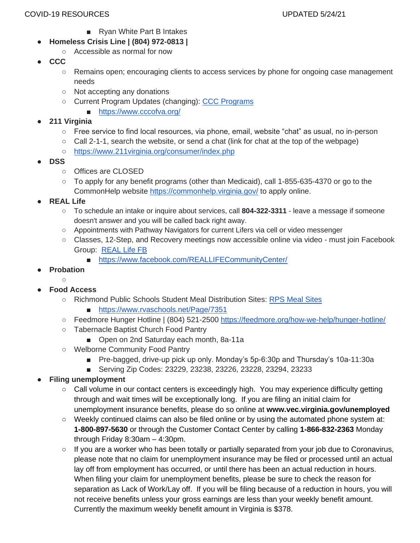- Ryan White Part B Intakes
- **Homeless Crisis Line | (804) 972-0813 |**
	- Accessible as normal for now
- **CCC**
	- Remains open; encouraging clients to access services by phone for ongoing case management needs
	- Not accepting any donations
	- Current Program Updates (changing): [CCC Programs](https://www.cccofva.org/)
		- <https://www.cccofva.org/>
- **211 Virginia**
	- Free service to find local resources, via phone, email, website "chat" as usual, no in-person
	- $\circ$  Call 2-1-1, search the website, or send a chat (link for chat at the top of the webpage)
	- <https://www.211virginia.org/consumer/index.php>
- **DSS**
	- Offices are CLOSED
	- To apply for any benefit programs (other than Medicaid), call 1-855-635-4370 or go to the CommonHelp website<https://commonhelp.virginia.gov/> to apply online.
- **REAL Life** 
	- To schedule an intake or inquire about services, call **804-322-3311** leave a message if someone doesn't answer and you will be called back right away.
	- Appointments with Pathway Navigators for current Lifers via cell or video messenger
	- Classes, 12-Step, and Recovery meetings now accessible online via video must join Facebook Group: [REAL Life FB](https://www.facebook.com/REALLIFECommunityCenter/)
		- <https://www.facebook.com/REALLIFECommunityCenter/>
- **Probation** 
	- $\cap$
- **Food Access**
	- Richmond Public Schools Student Meal Distribution Sites: [RPS Meal Sites](https://www.rvaschools.net/Page/7351)
		- <https://www.rvaschools.net/Page/7351>
	- Feedmore Hunger Hotline | (804) 521-2500<https://feedmore.org/how-we-help/hunger-hotline/>
	- Tabernacle Baptist Church Food Pantry
		- Open on 2nd Saturday each month, 8a-11a
	- Welborne Community Food Pantry
		- Pre-bagged, drive-up pick up only. Monday's 5p-6:30p and Thursday's 10a-11:30a
		- Serving Zip Codes: 23229, 23238, 23226, 23228, 23294, 23233
- **Filing unemployment** 
	- Call volume in our contact centers is exceedingly high. You may experience difficulty getting through and wait times will be exceptionally long. If you are filing an initial claim for unemployment insurance benefits, please do so online a[t](https://www.vec.virginia.gov/unemployed) **[www.vec.virginia.gov/unemployed](https://www.vec.virginia.gov/unemployed)**
	- Weekly continued claims can also be filed online or by using the automated phone system at: **1-800-897-5630** or through the Customer Contact Center by calling **1-866-832-2363** Monday through Friday 8:30am – 4:30pm.
	- $\circ$  If you are a worker who has been totally or partially separated from your job due to Coronavirus, please note that no claim for unemployment insurance may be filed or processed until an actual lay off from employment has occurred, or until there has been an actual reduction in hours. When filing your claim for unemployment benefits, please be sure to check the reason for separation as Lack of Work/Lay off. If you will be filing because of a reduction in hours, you will not receive benefits unless your gross earnings are less than your weekly benefit amount. Currently the maximum weekly benefit amount in Virginia is \$378.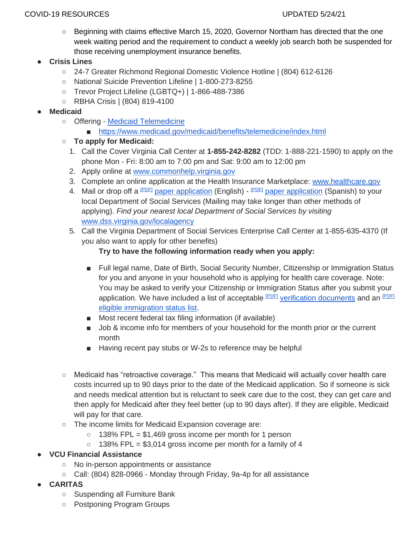#### COVID-19 RESOURCES UPDATED 5/24/21

○ Beginning with claims effective March 15, 2020, Governor Northam has directed that the one week waiting period and the requirement to conduct a weekly job search both be suspended for those receiving unemployment insurance benefits.

# ● **Crisis Lines**

- 24-7 Greater Richmond Regional Domestic Violence Hotline | (804) 612-6126
- National Suicide Prevention Lifeline | 1-800-273-8255
- Trevor Project Lifeline (LGBTQ+) | 1-866-488-7386
- RBHA Crisis | (804) 819-4100
- **Medicaid** 
	- Offering [Medicaid Telemedicine](https://www.medicaid.gov/medicaid/benefits/telemedicine/index.html)
		- <https://www.medicaid.gov/medicaid/benefits/telemedicine/index.html>
	- **To apply for Medicaid:**
		- 1. Call the Cover Virginia Call Center at **1-855-242-8282** (TDD: 1-888-221-1590) to apply on the phone Mon - Fri: 8:00 am to 7:00 pm and Sat: 9:00 am to 12:00 pm
		- 2. Apply online at [www.commonhelp.virginia.gov](http://www.commonhelp.virginia.gov/)
		- 3. Complete an online application at the Health Insurance Marketplace: [www.healthcare.gov](https://www.healthcare.gov/)
		- 4. Mail or drop off a <sup>[\[PDF\]](https://www.coverva.org/apply/#aread)</sup> [paper application](https://www.coverva.org/materials/magi_1_spanish.pdf) (English) <sup>[PDF]</sup> paper application (Spanish) to your local Department of Social Services (Mailing may take longer than other methods of applying). *Find your nearest local Department of Social Services by visiting* [www.dss.virginia.gov/localagency](http://www.dss.virginia.gov/localagency/)
		- 5. Call the Virginia Department of Social Services Enterprise Call Center at 1-855-635-4370 (If you also want to apply for other benefits)

# **Try to have the following information ready when you apply:**

- Full legal name, Date of Birth, Social Security Number, Citizenship or Immigration Status for you and anyone in your household who is applying for health care coverage. Note: You may be asked to verify your Citizenship or Immigration Status after you submit your application. We have included a list of acceptable **PDFI** verification documents and an <sup>[\[PDF\]](https://www.coverva.org/apply/#aread)</sup> [eligible immigration status list.](https://www.coverva.org/materials/Eligible%20immigration%20status%20list%20071919.pdf)
- Most recent federal tax filing information (if available)
- Job & income info for members of your household for the month prior or the current month
- Having recent pay stubs or W-2s to reference may be helpful
- Medicaid has "retroactive coverage." This means that Medicaid will actually cover health care costs incurred up to 90 days prior to the date of the Medicaid application. So if someone is sick and needs medical attention but is reluctant to seek care due to the cost, they can get care and then apply for Medicaid after they feel better (up to 90 days after). If they are eligible, Medicaid will pay for that care.
- The income limits for Medicaid Expansion coverage are:
	- $\circ$  138% FPL = \$1,469 gross income per month for 1 person
	- $\circ$  138% FPL = \$3,014 gross income per month for a family of 4

# ● **VCU Financial Assistance**

- No in-person appointments or assistance
- Call: (804) 828-0966 Monday through Friday, 9a-4p for all assistance
- **CARITAS**
	- Suspending all Furniture Bank
	- Postponing Program Groups